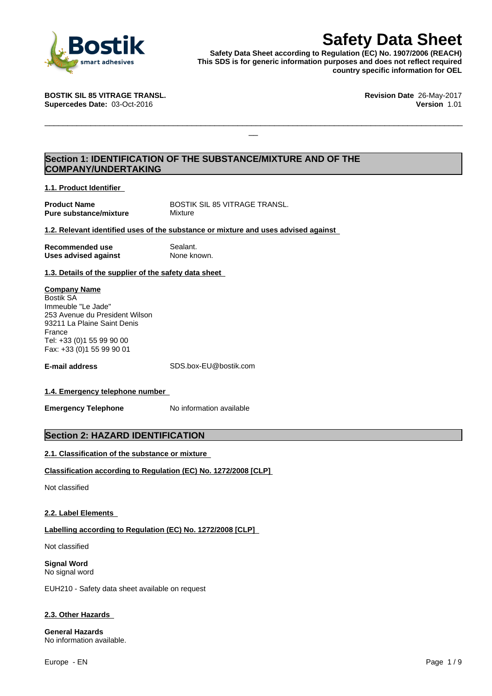

**Safety Data Sheet**<br>
Reputation (EC) No. 1907/2006 (REACH)<br>
r generic information purposes and does not reflect required<br>
country specific information for OEL<br>
Revision Date 26-May-2017<br>
Version 1.01 **Safety Data Sheet according to Regulation (EC) No. 1907/2006 (REACH) This SDS is for generic information purposes and does not reflect required country specific information for OEL**

 $\Box$ 

**BOSTIK SIL 85 VITRAGE TRANSL. Revision Date** 26-May-2017 **Supercedes Date:** 03-Oct-2016 **Version** 1.01

## **Section 1: IDENTIFICATION OF THE SUBSTANCE/MIXTURE AND OF THE COMPANY/UNDERTAKING**

**1.1. Product Identifier**

**Pure substance/mixture** Mixture

**Product Name** BOSTIK SIL 85 VITRAGE TRANSL.

**1.2. Relevant identified uses of the substance or mixture and uses advised against**

**Recommended use** Sealant.<br> **Uses advised against** None known. **Uses advised against** 

#### **1.3. Details of the supplier of the safety data sheet**

#### **Company Name**

Bostik SA Immeuble "Le Jade" 253 Avenue du President Wilson 93211 La Plaine Saint Denis France Tel: +33 (0)1 55 99 90 00 Fax: +33 (0)1 55 99 90 01

**E-mail address** SDS.box-EU@bostik.com

#### **1.4. Emergency telephone number**

**Emergency Telephone** No information available

#### **Section 2: HAZARD IDENTIFICATION**

#### **2.1. Classification of the substance or mixture**

#### **Classification according to Regulation (EC) No. 1272/2008 [CLP]**

Not classified

#### **2.2. Label Elements**

#### **Labelling according to Regulation (EC) No. 1272/2008 [CLP]**

Not classified

**Signal Word** No signal word

EUH210 - Safety data sheet available on request

#### **2.3. Other Hazards**

**General Hazards** No information available.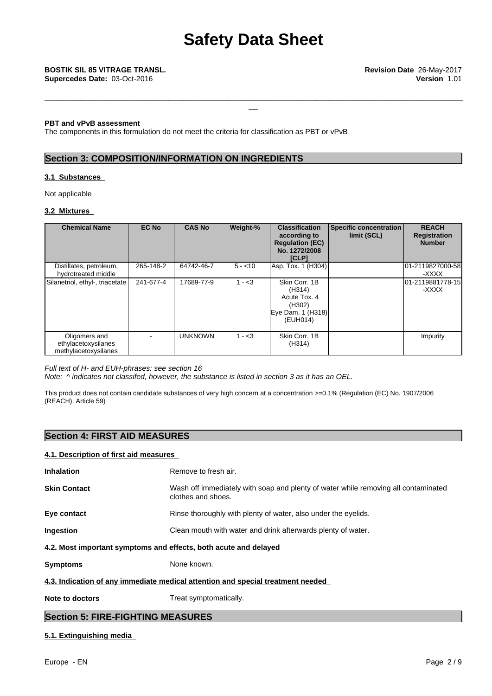#### **PBT and vPvB assessment**

The components in this formulation do not meet the criteria for classification as PBT or vPvB

#### **Section 3: COMPOSITION/INFORMATION ON INGREDIENTS**

#### **3.1 Substances**

Not applicable

#### **3.2 Mixtures**

| <b>Chemical Name</b>                                         | <b>EC No</b> | <b>CAS No</b>  | Weight-% | <b>Classification</b><br>according to<br><b>Regulation (EC)</b><br>No. 1272/2008<br><b>[CLP]</b> | Specific concentration<br>limit (SCL) | <b>REACH</b><br>Registration<br><b>Number</b> |
|--------------------------------------------------------------|--------------|----------------|----------|--------------------------------------------------------------------------------------------------|---------------------------------------|-----------------------------------------------|
| Distillates, petroleum,<br>hydrotreated middle               | 265-148-2    | 64742-46-7     | $5 - 10$ | Asp. Tox. 1 (H304)                                                                               |                                       | 01-2119827000-58<br>-XXXX                     |
| Silanetriol, ethyl-, triacetate                              | 241-677-4    | 17689-77-9     | $1 - 3$  | Skin Corr, 1B<br>(H314)<br>Acute Tox, 4<br>(H302)<br>Eye Dam. 1 (H318)<br>(EUH014)               |                                       | 01-2119881778-15<br>-XXXX                     |
| Oligomers and<br>ethylacetoxysilanes<br>methylacetoxysilanes |              | <b>UNKNOWN</b> | $1 - 3$  | Skin Corr, 1B<br>(H314)                                                                          |                                       | Impurity                                      |

#### *Full text of H- and EUH-phrases: see section 16*

*Note: ^ indicates not classifed, however, the substance islisted in section 3 as it has an OEL.*

This product does not contain candidate substances of very high concern at a concentration >=0.1% (Regulation (EC) No. 1907/2006 (REACH), Article 59)

#### **Section 4: FIRST AID MEASURES**

#### **4.1. Description of first aid measures**

| <b>Skin Contact</b>                                                             | Wash off immediately with soap and plenty of water while removing all contaminated |  |  |
|---------------------------------------------------------------------------------|------------------------------------------------------------------------------------|--|--|
|                                                                                 | clothes and shoes.                                                                 |  |  |
| Eye contact                                                                     | Rinse thoroughly with plenty of water, also under the eyelids.                     |  |  |
| Ingestion                                                                       | Clean mouth with water and drink afterwards plenty of water.                       |  |  |
| 4.2. Most important symptoms and effects, both acute and delayed                |                                                                                    |  |  |
| <b>Symptoms</b>                                                                 | None known.                                                                        |  |  |
| 4.3. Indication of any immediate medical attention and special treatment needed |                                                                                    |  |  |
| Note to doctors                                                                 | Treat symptomatically.                                                             |  |  |
| <b>Section 5: FIRE-FIGHTING MEASURES</b>                                        |                                                                                    |  |  |

#### **5.1. Extinguishing media**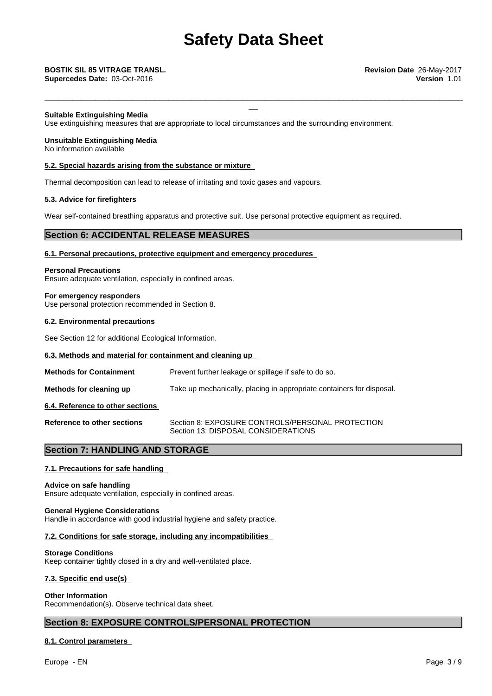\_\_\_\_\_\_\_\_\_\_\_\_\_\_\_\_\_\_\_\_\_\_\_\_\_\_\_\_\_\_\_\_\_\_\_\_\_\_\_\_\_\_\_\_\_\_\_\_\_\_\_\_\_\_\_\_\_\_\_\_\_\_\_\_\_\_\_\_\_\_\_\_\_\_\_\_\_\_\_\_\_\_\_\_\_\_\_\_\_\_\_

**Supercedes Date:** 03-Oct-2016 **Version** 1.01

#### **Suitable Extinguishing Media**

Use extinguishing measures that are appropriate to local circumstances and the surrounding environment.

#### **Unsuitable Extinguishing Media**

No information available

#### **5.2. Special hazards arising from the substance or mixture**

Thermal decomposition can lead to release of irritating and toxic gases and vapours.

#### **5.3. Advice for firefighters**

Wear self-contained breathing apparatus and protective suit. Use personal protective equipment as required.

#### **Section 6: ACCIDENTAL RELEASE MEASURES**

#### **6.1. Personal precautions, protective equipment and emergency procedures**

**Personal Precautions** Ensure adequate ventilation, especially in confined areas.

**For emergency responders** Use personal protection recommended in Section 8.

#### **6.2. Environmental precautions**

See Section 12 for additional Ecological Information.

#### **6.3. Methods and material for containment and cleaning up**

| <b>Methods for Containment</b>     | Prevent further leakage or spillage if safe to do so.                                   |
|------------------------------------|-----------------------------------------------------------------------------------------|
| Methods for cleaning up            | Take up mechanically, placing in appropriate containers for disposal.                   |
| 6.4. Reference to other sections   |                                                                                         |
| <b>Reference to other sections</b> | Section 8: EXPOSURE CONTROLS/PERSONAL PROTECTION<br>Section 13: DISPOSAL CONSIDERATIONS |

## **Section 7: HANDLING AND STORAGE**

#### **7.1. Precautions for safe handling**

#### **Advice on safe handling**

Ensure adequate ventilation, especially in confined areas.

#### **General Hygiene Considerations**

Handle in accordance with good industrial hygiene and safety practice.

#### **7.2. Conditions for safe storage, including any incompatibilities**

#### **Storage Conditions**

Keep container tightly closed in a dry and well-ventilated place.

# **7.3. Specific end use(s)**

**Other Information**

Recommendation(s). Observe technical data sheet.

#### **Section 8: EXPOSURE CONTROLS/PERSONAL PROTECTION**

#### **8.1. Control parameters**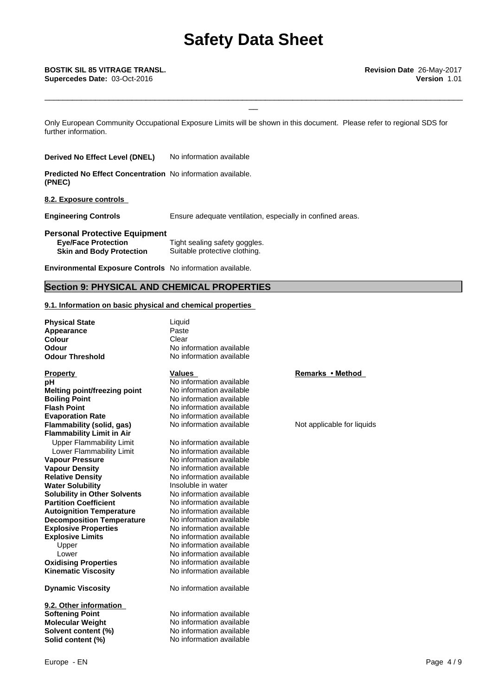\_\_\_\_\_\_\_\_\_\_\_\_\_\_\_\_\_\_\_\_\_\_\_\_\_\_\_\_\_\_\_\_\_\_\_\_\_\_\_\_\_\_\_\_\_\_\_\_\_\_\_\_\_\_\_\_\_\_\_\_\_\_\_\_\_\_\_\_\_\_\_\_\_\_\_\_\_\_\_\_\_\_\_\_\_\_\_\_\_\_\_

Only European Community Occupational Exposure Limits will be shown in this document. Please refer to regional SDS for further information.

**Derived No Effect Level (DNEL)** No information available

**Predicted No Effect Concentration** No information available. **(PNEC)**

**8.2. Exposure controls**

**Engineering Controls** Ensure adequate ventilation, especially in confined areas.

**Personal Protective Equipment**

| <b>Eve/Face Protection</b>      | Tight sealing safety goggles. |
|---------------------------------|-------------------------------|
| <b>Skin and Body Protection</b> | Suitable protective clothing. |

**Environmental Exposure Controls** No information available.

## **Section 9: PHYSICAL AND CHEMICAL PROPERTIES**

#### **9.1. Information on basic physical and chemical properties**

**Physical State Liquid Appearance** Paste<br> **Colour** Clear **Colour**<br>Odour **Odour Threshold Explosive Properties** No information available **Explosive Limits** No information available Upper No information available Lower No information available **Oxidising Properties** No information available **Property Remarks • Method Property Remarks • Method pH** No information available **Melting point/freezing point** No information available **Boiling Point** No information available **Flash Point** No information available **Evaporation Rate No information available**<br> **Elammability (solid, gas)** No information available **Note and all ability in the Victor Flammability** (solid, gas) **Flammability Limit in Air** Upper Flammability Limit<br>
Lower Flammability Limit<br>
No information available Lower Flammability Limit **Vapour Pressure** No information available **Vapour Density** No information available **Relative Density No information available**<br> **Water Solubility No information available**<br> **Water Solubility No information Water Solubility <b>Insoluble** in water<br> **Solubility in Other Solvents** No information available **Solubility in Other Solvents Partition Coefficient No information available**<br> **Autoignition Temperature No information available Autoignition Temperature** No information available<br> **Decomposition Temperature** No information available **Decomposition Temperature Kinematic Viscosity** No information available **Dynamic Viscosity** No information available

**9.2. Other information Solid content (%)** No information available

No information available<br>No information available

**Softening Point** No information available **Molecular Weight** No information available **Solvent content (%)** No information available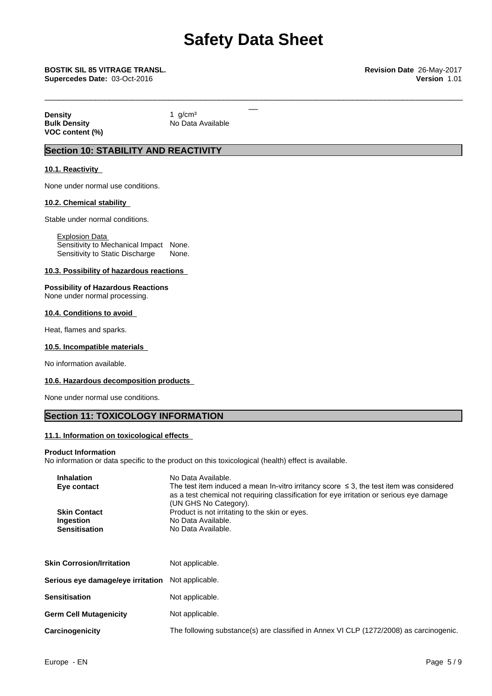\_\_\_\_\_\_\_\_\_\_\_\_\_\_\_\_\_\_\_\_\_\_\_\_\_\_\_\_\_\_\_\_\_\_\_\_\_\_\_\_\_\_\_\_\_\_\_\_\_\_\_\_\_\_\_\_\_\_\_\_\_\_\_\_\_\_\_\_\_\_\_\_\_\_\_\_\_\_\_\_\_\_\_\_\_\_\_\_\_\_\_

# \_\_ **BOSTIK SIL <sup>85</sup> VITRAGE TRANSL. Revision Date** 26-May-2017

**Supercedes Date:** 03-Oct-2016 **Version** 1.01

**Density** 1 g/cm<sup>3</sup><br> **Bulk Density** 1 Bulk Density **VOC content (%)**

**No Data Available** 

## **Section 10: STABILITY AND REACTIVITY**

#### **10.1. Reactivity**

None under normal use conditions.

#### **10.2. Chemical stability**

Stable under normal conditions.

Explosion Data Sensitivity to Mechanical Impact None. Sensitivity to Static Discharge None.

#### **10.3. Possibility of hazardous reactions**

**Possibility of Hazardous Reactions** None under normal processing.

#### **10.4. Conditions to avoid**

Heat, flames and sparks.

#### **10.5. Incompatible materials**

No information available.

#### **10.6. Hazardous decomposition products**

None under normal use conditions.

## **Section 11: TOXICOLOGY INFORMATION**

#### **11.1. Information on toxicological effects**

#### **Product Information**

No information or data specific to the product on this toxicological (health) effect is available.

| <b>Inhalation</b>                                                                                                                                                                                                                | No Data Available.                                                                     |  |  |  |
|----------------------------------------------------------------------------------------------------------------------------------------------------------------------------------------------------------------------------------|----------------------------------------------------------------------------------------|--|--|--|
| The test item induced a mean In-vitro irritancy score $\leq$ 3, the test item was considered<br>Eye contact<br>as a test chemical not requiring classification for eye irritation or serious eye damage<br>(UN GHS No Category). |                                                                                        |  |  |  |
| <b>Skin Contact</b>                                                                                                                                                                                                              | Product is not irritating to the skin or eyes.                                         |  |  |  |
| Ingestion                                                                                                                                                                                                                        | No Data Available.                                                                     |  |  |  |
| <b>Sensitisation</b>                                                                                                                                                                                                             | No Data Available.                                                                     |  |  |  |
| <b>Skin Corrosion/Irritation</b>                                                                                                                                                                                                 | Not applicable.                                                                        |  |  |  |
| Serious eye damage/eye irritation                                                                                                                                                                                                | Not applicable.                                                                        |  |  |  |
| Sensitisation                                                                                                                                                                                                                    | Not applicable.                                                                        |  |  |  |
| <b>Germ Cell Mutagenicity</b>                                                                                                                                                                                                    | Not applicable.                                                                        |  |  |  |
| <b>Carcinogenicity</b>                                                                                                                                                                                                           | The following substance(s) are classified in Annex VI CLP (1272/2008) as carcinogenic. |  |  |  |
|                                                                                                                                                                                                                                  |                                                                                        |  |  |  |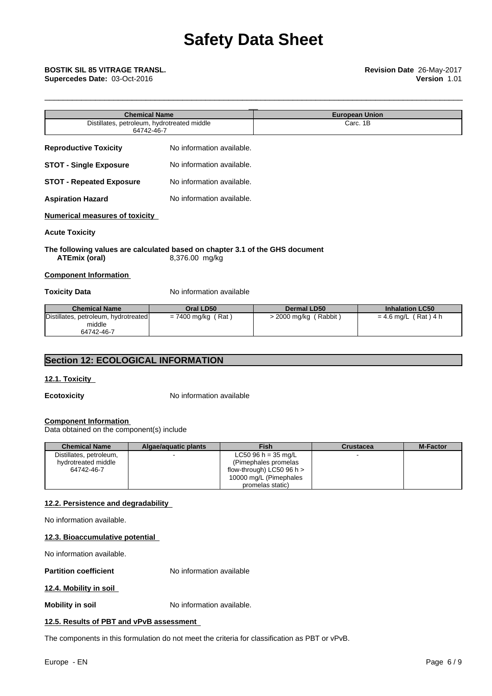| BOSTIK SIL 85 VITRAGE TRANSL.<br>Supercedes Date: 03-Oct-2016 |                           | Revision Date 26-May-2017<br>Version 1.01 |  |
|---------------------------------------------------------------|---------------------------|-------------------------------------------|--|
| <b>Chemical Name</b>                                          |                           | <b>European Union</b>                     |  |
| Distillates, petroleum, hydrotreated middle<br>64742-46-7     |                           | Carc. 1B                                  |  |
| <b>Reproductive Toxicity</b>                                  | No information available. |                                           |  |
| <b>STOT - Single Exposure</b>                                 | No information available. |                                           |  |
| <b>STOT - Repeated Exposure</b>                               | No information available. |                                           |  |
| <b>Aspiration Hazard</b>                                      | No information available. |                                           |  |
| <b>Numerical measures of toxicity</b>                         |                           |                                           |  |

#### **Acute Toxicity**

#### **The following values are calculated based on chapter 3.1 of the GHS document ATEmix (oral)** 8,376.00 mg/kg

#### **Component Information**

**Toxicity Data** No information available

| <b>Chemical Name</b>                 | Oral LD50            | Dermal LD50               | <b>Inhalation LC50</b> |
|--------------------------------------|----------------------|---------------------------|------------------------|
| Distillates, petroleum, hydrotreated | $= 7400$ mg/kg (Rat) | Rabbit)<br>· 2000 mg/kg ⊣ | $= 4.6$ mg/L (Rat) 4 h |
| middle                               |                      |                           |                        |
| 64742-46-7                           |                      |                           |                        |

## **Section 12: ECOLOGICAL INFORMATION**

#### **12.1. Toxicity**

**Ecotoxicity** No information available

#### **Component Information**

Data obtained on the component(s) include

| <b>Chemical Name</b>    | Algae/aguatic plants | Fish                          | <b>Crustacea</b> | <b>M-Factor</b> |
|-------------------------|----------------------|-------------------------------|------------------|-----------------|
| Distillates, petroleum, |                      | LC50 96 h = $35 \text{ mg/L}$ |                  |                 |
| hydrotreated middle     |                      | (Pimephales promelas)         |                  |                 |
| 64742-46-7              |                      | flow-through) LC50 96 h $>$   |                  |                 |
|                         |                      | 10000 mg/L (Pimephales        |                  |                 |
|                         |                      | promelas static)              |                  |                 |

#### **12.2. Persistence and degradability**

No information available.

#### **12.3. Bioaccumulative potential**

No information available.

**Partition coefficient** No information available

#### **12.4. Mobility in soil**

**Mobility in soil** No information available.

#### **12.5. Results of PBT and vPvB assessment**

The components in this formulation do not meet the criteria for classification as PBT or vPvB.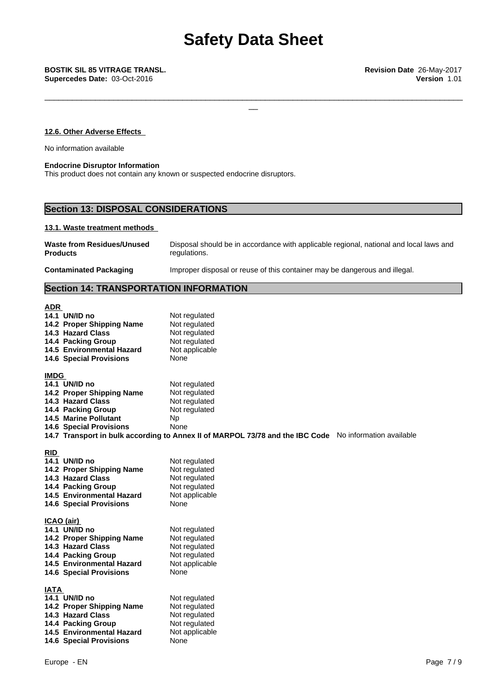#### **12.6. Other Adverse Effects**

No information available

#### **Endocrine Disruptor Information**

This product does not contain any known or suspected endocrine disruptors.

# **Section 13: DISPOSAL CONSIDERATIONS**

#### **13.1. Waste treatment methods**

| Waste from Residues/Unused    | Disposal should be in accordance with applicable regional, national and local laws and |
|-------------------------------|----------------------------------------------------------------------------------------|
| <b>Products</b>               | regulations.                                                                           |
| <b>Contaminated Packaging</b> | Improper disposal or reuse of this container may be dangerous and illegal.             |

#### **Section 14: TRANSPORTATION INFORMATION**

| <b>ADR</b><br>14.1 UN/ID no<br>14.2 Proper Shipping Name<br>14.3 Hazard Class<br>14.4 Packing Group<br><b>14.5 Environmental Hazard</b><br><b>14.6 Special Provisions</b> | Not regulated<br>Not regulated<br>Not regulated<br>Not regulated<br>Not applicable<br>None                                                                                                      |
|---------------------------------------------------------------------------------------------------------------------------------------------------------------------------|-------------------------------------------------------------------------------------------------------------------------------------------------------------------------------------------------|
| <b>IMDG</b><br>14.1 UN/ID no<br>14.2 Proper Shipping Name<br>14.3 Hazard Class<br>14.4 Packing Group<br><b>14.5 Marine Pollutant</b><br><b>14.6 Special Provisions</b>    | Not regulated<br>Not regulated<br>Not regulated<br>Not regulated<br><b>Np</b><br>None<br>14.7 Transport in bulk according to Annex II of MARPOL 73/78 and the IBC Code No information available |
| <b>RID</b><br>14.1 UN/ID no<br>14.2 Proper Shipping Name<br>14.3 Hazard Class<br>14.4 Packing Group<br><b>14.5 Environmental Hazard</b><br><b>14.6 Special Provisions</b> | Not regulated<br>Not regulated<br>Not regulated<br>Not regulated<br>Not applicable<br>None                                                                                                      |
| ICAO (air)<br>14.1 UN/ID no<br>14.2 Proper Shipping Name<br>14.3 Hazard Class<br>14.4 Packing Group<br><b>14.5 Environmental Hazard</b><br><b>14.6 Special Provisions</b> | Not regulated<br>Not regulated<br>Not regulated<br>Not regulated<br>Not applicable<br>None                                                                                                      |
| IATA<br>14.1 UN/ID no<br>14.2 Proper Shipping Name<br>14.3 Hazard Class<br>14.4 Packing Group<br>14.5 Environmental Hazard<br><b>14.6 Special Provisions</b>              | Not regulated<br>Not regulated<br>Not regulated<br>Not regulated<br>Not applicable<br>None                                                                                                      |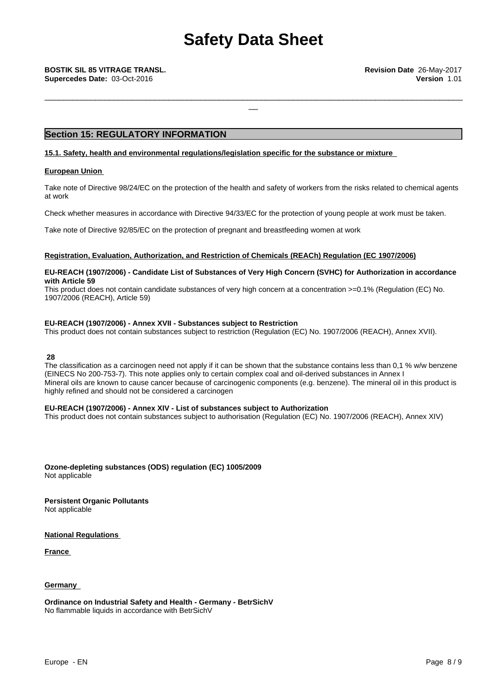## **Section 15: REGULATORY INFORMATION**

#### **15.1. Safety, health and environmental regulations/legislation specific for the substance or mixture**

#### **European Union**

Take note of Directive 98/24/EC on the protection of the health and safety of workers from the risks related to chemical agents at work

Check whether measures in accordance with Directive 94/33/EC for the protection of young people at work must be taken.

Take note of Directive 92/85/EC on the protection of pregnant and breastfeeding women at work

#### **Registration, Evaluation, Authorization, and Restriction of Chemicals (REACh) Regulation (EC 1907/2006)**

#### **EU-REACH (1907/2006) - Candidate List of Substances of Very High Concern (SVHC) for Authorization in accordance with Article 59**

This product does not contain candidate substances of very high concern at a concentration  $>=0.1\%$  (Regulation (EC) No. 1907/2006 (REACH), Article 59)

#### **EU-REACH (1907/2006) - Annex XVII - Substances subject to Restriction**

This product does not contain substances subject to restriction (Regulation (EC) No. 1907/2006 (REACH), Annex XVII).

#### **28**

The classification as a carcinogen need not apply if it can be shown that the substance contains less than 0,1 % w/w benzene (EINECS No 200-753-7). This note applies only to certain complex coal and oil-derived substances in Annex I Mineral oils are known to cause cancer because of carcinogenic components (e.g. benzene). The mineral oil in this product is highly refined and should not be considered a carcinogen

#### **EU-REACH (1907/2006) - Annex XIV - List of substances subject to Authorization**

This product does not contain substances subject to authorisation (Regulation (EC) No. 1907/2006 (REACH), Annex XIV)

**Ozone-depleting substances (ODS) regulation (EC) 1005/2009** Not applicable

**Persistent Organic Pollutants** Not applicable

**National Regulations**

**France** 

#### **Germany**

**Ordinance on Industrial Safety and Health - Germany - BetrSichV** No flammable liquids in accordance with BetrSichV